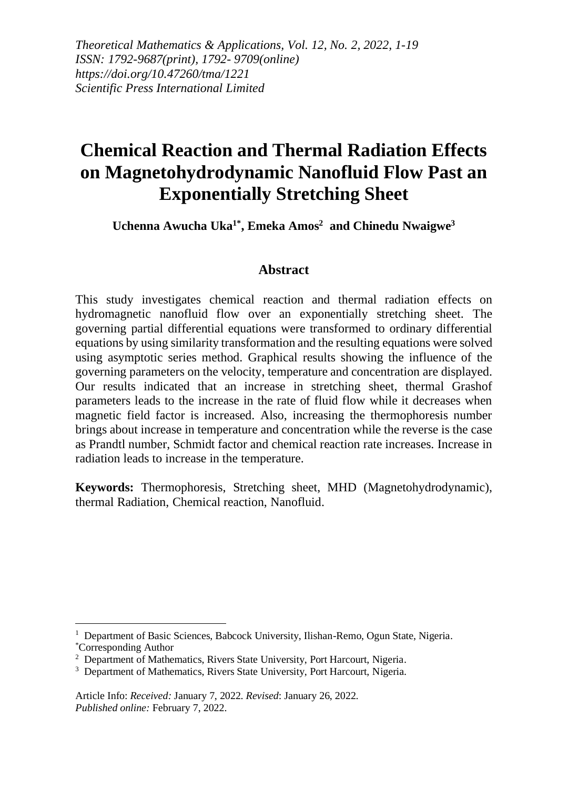*Theoretical Mathematics & Applications, Vol. 12, No. 2, 2022, 1-19 ISSN: 1792-9687(print), 1792- 9709(online) https://doi.org/10.47260/tma/1221 Scientific Press International Limited*

# **Chemical Reaction and Thermal Radiation Effects on Magnetohydrodynamic Nanofluid Flow Past an Exponentially Stretching Sheet**

**Uchenna Awucha Uka1\* , Emeka Amos<sup>2</sup> and Chinedu Nwaigwe<sup>3</sup>**

#### **Abstract**

This study investigates chemical reaction and thermal radiation effects on hydromagnetic nanofluid flow over an exponentially stretching sheet. The governing partial differential equations were transformed to ordinary differential equations by using similarity transformation and the resulting equations were solved using asymptotic series method. Graphical results showing the influence of the governing parameters on the velocity, temperature and concentration are displayed. Our results indicated that an increase in stretching sheet, thermal Grashof parameters leads to the increase in the rate of fluid flow while it decreases when magnetic field factor is increased. Also, increasing the thermophoresis number brings about increase in temperature and concentration while the reverse is the case as Prandtl number, Schmidt factor and chemical reaction rate increases. Increase in radiation leads to increase in the temperature.

**Keywords:** Thermophoresis, Stretching sheet, MHD (Magnetohydrodynamic), thermal Radiation, Chemical reaction, Nanofluid.

<sup>&</sup>lt;sup>1</sup> Department of Basic Sciences, Babcock University, Ilishan-Remo, Ogun State, Nigeria. \*Corresponding Author

<sup>&</sup>lt;sup>2</sup> Department of Mathematics, Rivers State University, Port Harcourt, Nigeria.

<sup>&</sup>lt;sup>3</sup> Department of Mathematics, Rivers State University, Port Harcourt, Nigeria.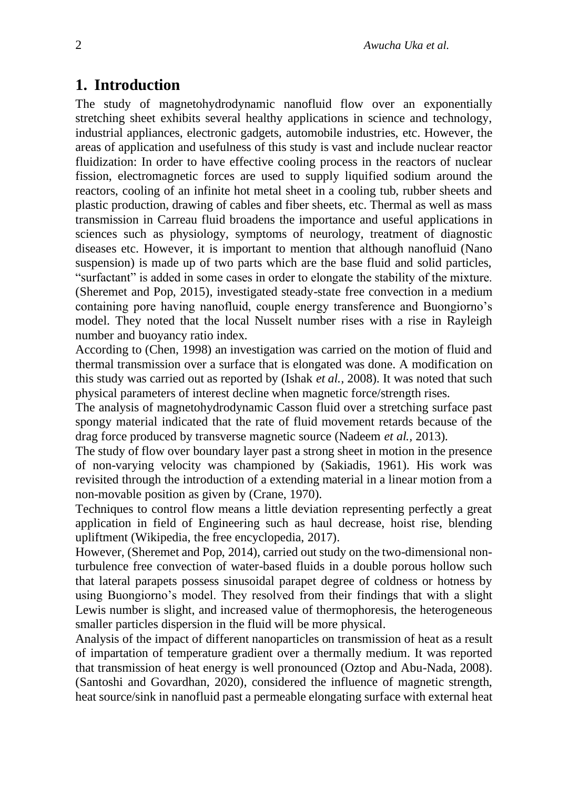# **1. Introduction**

The study of magnetohydrodynamic nanofluid flow over an exponentially stretching sheet exhibits several healthy applications in science and technology, industrial appliances, electronic gadgets, automobile industries, etc. However, the areas of application and usefulness of this study is vast and include nuclear reactor fluidization: In order to have effective cooling process in the reactors of nuclear fission, electromagnetic forces are used to supply liquified sodium around the reactors, cooling of an infinite hot metal sheet in a cooling tub, rubber sheets and plastic production, drawing of cables and fiber sheets, etc. Thermal as well as mass transmission in Carreau fluid broadens the importance and useful applications in sciences such as physiology, symptoms of neurology, treatment of diagnostic diseases etc. However, it is important to mention that although nanofluid (Nano suspension) is made up of two parts which are the base fluid and solid particles, "surfactant" is added in some cases in order to elongate the stability of the mixture. (Sheremet and Pop, 2015), investigated steady-state free convection in a medium containing pore having nanofluid, couple energy transference and Buongiorno's model. They noted that the local Nusselt number rises with a rise in Rayleigh number and buoyancy ratio index.

According to (Chen, 1998) an investigation was carried on the motion of fluid and thermal transmission over a surface that is elongated was done. A modification on this study was carried out as reported by (Ishak *et al.,* 2008). It was noted that such physical parameters of interest decline when magnetic force/strength rises.

The analysis of magnetohydrodynamic Casson fluid over a stretching surface past spongy material indicated that the rate of fluid movement retards because of the drag force produced by transverse magnetic source (Nadeem *et al.,* 2013).

The study of flow over boundary layer past a strong sheet in motion in the presence of non-varying velocity was championed by (Sakiadis, 1961). His work was revisited through the introduction of a extending material in a linear motion from a non-movable position as given by (Crane, 1970).

Techniques to control flow means a little deviation representing perfectly a great application in field of Engineering such as haul decrease, hoist rise, blending upliftment (Wikipedia, the free encyclopedia, 2017).

However, (Sheremet and Pop, 2014), carried out study on the two-dimensional nonturbulence free convection of water-based fluids in a double porous hollow such that lateral parapets possess sinusoidal parapet degree of coldness or hotness by using Buongiorno's model. They resolved from their findings that with a slight Lewis number is slight, and increased value of thermophoresis, the heterogeneous smaller particles dispersion in the fluid will be more physical.

Analysis of the impact of different nanoparticles on transmission of heat as a result of impartation of temperature gradient over a thermally medium. It was reported that transmission of heat energy is well pronounced (Oztop and Abu-Nada, 2008). (Santoshi and Govardhan, 2020), considered the influence of magnetic strength, heat source/sink in nanofluid past a permeable elongating surface with external heat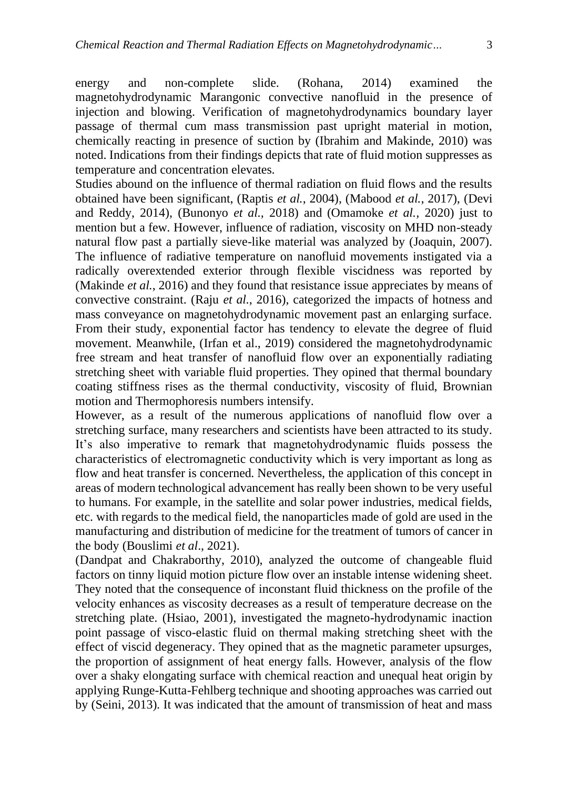energy and non-complete slide. (Rohana, 2014) examined the magnetohydrodynamic Marangonic convective nanofluid in the presence of injection and blowing. Verification of magnetohydrodynamics boundary layer passage of thermal cum mass transmission past upright material in motion, chemically reacting in presence of suction by (Ibrahim and Makinde, 2010) was noted. Indications from their findings depicts that rate of fluid motion suppresses as temperature and concentration elevates.

Studies abound on the influence of thermal radiation on fluid flows and the results obtained have been significant, (Raptis *et al.*, 2004), (Mabood *et al.*, 2017), (Devi and Reddy, 2014), (Bunonyo *et al.,* 2018) and (Omamoke *et al.,* 2020) just to mention but a few. However, influence of radiation, viscosity on MHD non-steady natural flow past a partially sieve-like material was analyzed by (Joaquin, 2007). The influence of radiative temperature on nanofluid movements instigated via a radically overextended exterior through flexible viscidness was reported by (Makinde *et al.*, 2016) and they found that resistance issue appreciates by means of convective constraint. (Raju *et al.*, 2016), categorized the impacts of hotness and mass conveyance on magnetohydrodynamic movement past an enlarging surface. From their study, exponential factor has tendency to elevate the degree of fluid movement. Meanwhile, (Irfan et al., 2019) considered the magnetohydrodynamic free stream and heat transfer of nanofluid flow over an exponentially radiating stretching sheet with variable fluid properties. They opined that thermal boundary coating stiffness rises as the thermal conductivity, viscosity of fluid, Brownian motion and Thermophoresis numbers intensify.

However, as a result of the numerous applications of nanofluid flow over a stretching surface, many researchers and scientists have been attracted to its study. It's also imperative to remark that magnetohydrodynamic fluids possess the characteristics of electromagnetic conductivity which is very important as long as flow and heat transfer is concerned. Nevertheless, the application of this concept in areas of modern technological advancement has really been shown to be very useful to humans. For example, in the satellite and solar power industries, medical fields, etc. with regards to the medical field, the nanoparticles made of gold are used in the manufacturing and distribution of medicine for the treatment of tumors of cancer in the body (Bouslimi *et al*., 2021).

(Dandpat and Chakraborthy, 2010), analyzed the outcome of changeable fluid factors on tinny liquid motion picture flow over an instable intense widening sheet. They noted that the consequence of inconstant fluid thickness on the profile of the velocity enhances as viscosity decreases as a result of temperature decrease on the stretching plate. (Hsiao, 2001), investigated the magneto-hydrodynamic inaction point passage of visco-elastic fluid on thermal making stretching sheet with the effect of viscid degeneracy. They opined that as the magnetic parameter upsurges, the proportion of assignment of heat energy falls. However, analysis of the flow over a shaky elongating surface with chemical reaction and unequal heat origin by applying Runge-Kutta-Fehlberg technique and shooting approaches was carried out by (Seini, 2013). It was indicated that the amount of transmission of heat and mass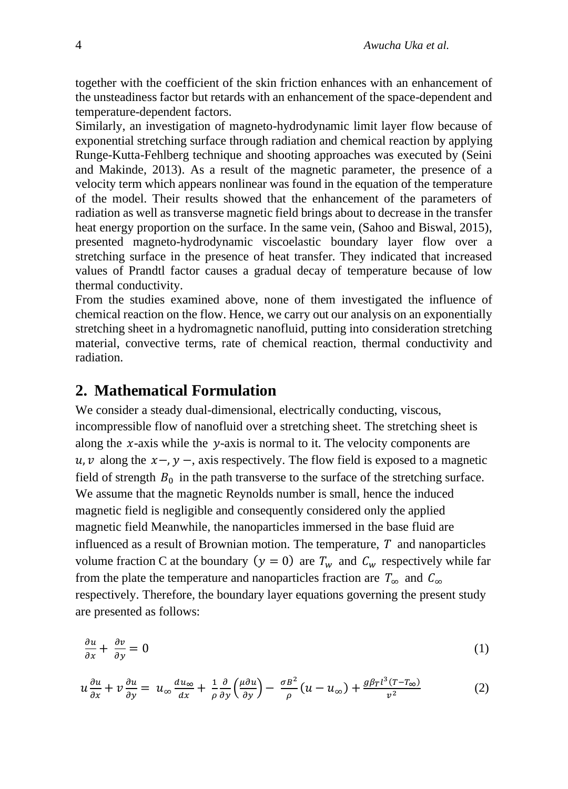together with the coefficient of the skin friction enhances with an enhancement of the unsteadiness factor but retards with an enhancement of the space-dependent and temperature-dependent factors.

Similarly, an investigation of magneto-hydrodynamic limit layer flow because of exponential stretching surface through radiation and chemical reaction by applying Runge-Kutta-Fehlberg technique and shooting approaches was executed by (Seini and Makinde, 2013). As a result of the magnetic parameter, the presence of a velocity term which appears nonlinear was found in the equation of the temperature of the model. Their results showed that the enhancement of the parameters of radiation as well as transverse magnetic field brings about to decrease in the transfer heat energy proportion on the surface. In the same vein, (Sahoo and Biswal, 2015), presented magneto-hydrodynamic viscoelastic boundary layer flow over a stretching surface in the presence of heat transfer. They indicated that increased values of Prandtl factor causes a gradual decay of temperature because of low thermal conductivity.

From the studies examined above, none of them investigated the influence of chemical reaction on the flow. Hence, we carry out our analysis on an exponentially stretching sheet in a hydromagnetic nanofluid, putting into consideration stretching material, convective terms, rate of chemical reaction, thermal conductivity and radiation.

#### **2. Mathematical Formulation**

We consider a steady dual-dimensional, electrically conducting, viscous, incompressible flow of nanofluid over a stretching sheet. The stretching sheet is along the  $x$ -axis while the  $y$ -axis is normal to it. The velocity components are  $u, v$  along the  $x -$ ,  $y -$ , axis respectively. The flow field is exposed to a magnetic field of strength  $B_0$  in the path transverse to the surface of the stretching surface. We assume that the magnetic Reynolds number is small, hence the induced magnetic field is negligible and consequently considered only the applied magnetic field Meanwhile, the nanoparticles immersed in the base fluid are influenced as a result of Brownian motion. The temperature,  $T$  and nanoparticles volume fraction C at the boundary  $(y = 0)$  are  $T_w$  and  $C_w$  respectively while far from the plate the temperature and nanoparticles fraction are  $T_{\infty}$  and  $C_{\infty}$ respectively. Therefore, the boundary layer equations governing the present study are presented as follows:

$$
\frac{\partial u}{\partial x} + \frac{\partial v}{\partial y} = 0 \tag{1}
$$

$$
u\frac{\partial u}{\partial x} + v\frac{\partial u}{\partial y} = u_{\infty}\frac{du_{\infty}}{dx} + \frac{1}{\rho}\frac{\partial}{\partial y}\left(\frac{\mu\partial u}{\partial y}\right) - \frac{\sigma B^2}{\rho}(u - u_{\infty}) + \frac{g\beta_T l^3 (T - T_{\infty})}{v^2}
$$
(2)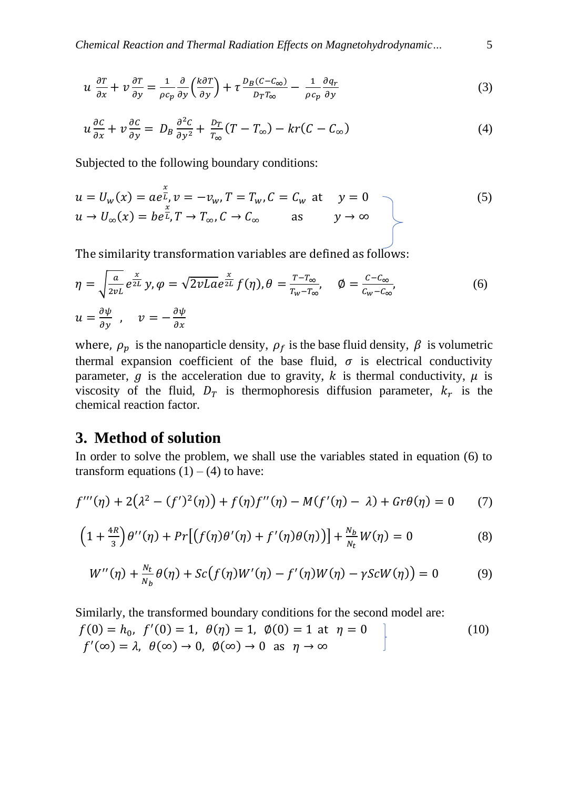$$
u \frac{\partial T}{\partial x} + v \frac{\partial T}{\partial y} = \frac{1}{\rho c_p} \frac{\partial}{\partial y} \left(\frac{k \partial T}{\partial y}\right) + \tau \frac{D_B (C - C_{\infty})}{D_T T_{\infty}} - \frac{1}{\rho c_p} \frac{\partial q_r}{\partial y}
$$
(3)

$$
u\frac{\partial c}{\partial x} + v\frac{\partial c}{\partial y} = D_B \frac{\partial^2 c}{\partial y^2} + \frac{D_T}{T_{\infty}}(T - T_{\infty}) - kr(C - C_{\infty})
$$
\n(4)

Subjected to the following boundary conditions:

$$
u = U_w(x) = ae^{\frac{x}{L}}, v = -v_w, T = T_w, C = C_w \text{ at } y = 0
$$
  
\n
$$
u \to U_{\infty}(x) = be^{\frac{x}{L}}, T \to T_{\infty}, C \to C_{\infty} \text{ as } y \to \infty
$$
\n(5)

The similarity transformation variables are defined as follows:

$$
\eta = \sqrt{\frac{a}{2\nu L}} e^{\frac{x}{2L}} y, \varphi = \sqrt{2\nu L a} e^{\frac{x}{2L}} f(\eta), \theta = \frac{T - T_{\infty}}{T_w - T_{\infty}}, \quad \varphi = \frac{C - C_{\infty}}{C_w - C_{\infty}},
$$
  
\n
$$
u = \frac{\partial \psi}{\partial y}, \quad v = -\frac{\partial \psi}{\partial x}
$$
\n(6)

where,  $\rho_p$  is the nanoparticle density,  $\rho_f$  is the base fluid density,  $\beta$  is volumetric thermal expansion coefficient of the base fluid,  $\sigma$  is electrical conductivity parameter,  $g$  is the acceleration due to gravity,  $k$  is thermal conductivity,  $\mu$  is viscosity of the fluid,  $D_T$  is thermophoresis diffusion parameter,  $k_T$  is the chemical reaction factor.

#### **3. Method of solution**

In order to solve the problem, we shall use the variables stated in equation (6) to transform equations  $(1) - (4)$  to have:

$$
f'''(\eta) + 2(\lambda^2 - (f')^2(\eta)) + f(\eta)f''(\eta) - M(f'(\eta) - \lambda) + Gr\theta(\eta) = 0 \tag{7}
$$

$$
\left(1+\frac{4R}{3}\right)\theta^{\prime\prime}(\eta)+\Pr\big[\big(f(\eta)\theta^{\prime}(\eta)+f^{\prime}(\eta)\theta(\eta)\big)\big]+\frac{N_b}{N_t}W(\eta)=0\tag{8}
$$

$$
W''(\eta) + \frac{N_t}{N_b} \theta(\eta) + Sc(f(\eta)W'(\eta) - f'(\eta)W(\eta) - \gamma ScW(\eta)) = 0
$$
 (9)

Similarly, the transformed boundary conditions for the second model are:

$$
f(0) = h_0, \ f'(0) = 1, \ \theta(\eta) = 1, \ \phi(0) = 1 \text{ at } \eta = 0
$$
  

$$
f'(\infty) = \lambda, \ \theta(\infty) \to 0, \ \phi(\infty) \to 0 \text{ as } \eta \to \infty
$$
 (10)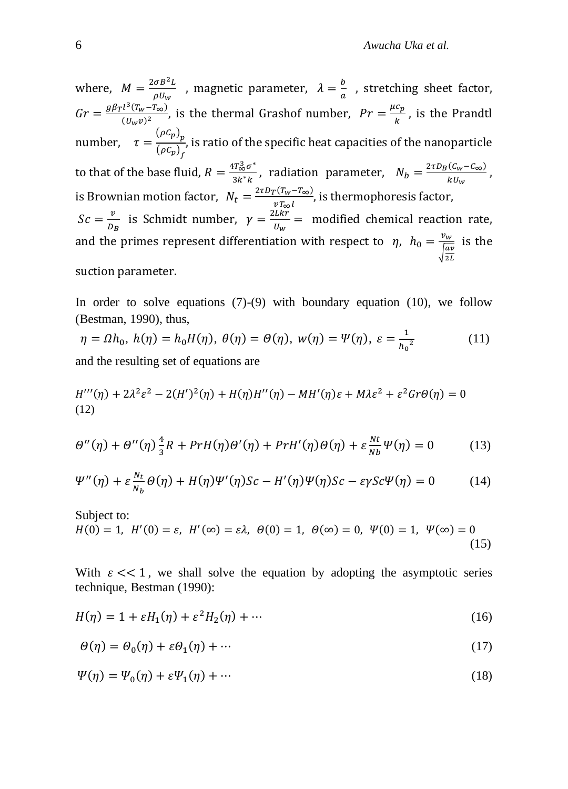where,  $M = \frac{2 \sigma B^2 L}{\sigma H}$  $\frac{\sigma B^2 L}{\rho U_w}$  , magnetic parameter,  $\lambda = \frac{b}{a}$  $\frac{b}{a}$ , stretching sheet factor,  $Gr = \frac{g\beta_T l^3 (T_w - T_\infty)}{(U_w)^2}$  $\frac{l^3(T_w-T_\infty)}{(U_w v)^2}$ , is the thermal Grashof number,  $Pr = \frac{\mu c_p}{k}$  $\frac{\partial^2 p}{\partial k}$ , is the Prandtl number,  $\tau = \frac{(\rho C_p)_p}{(\rho C_p)}$  $(\rho C_p)_f$ , is ratio of the specific heat capacities of the nanoparticle to that of the base fluid,  $R = \frac{4T_{\infty}^3 \sigma^*}{2k_{\perp}^* k_{\perp}}$  $\frac{4T_{\infty}^{3}\sigma^{*}}{3k^{*}k}$ , radiation parameter,  $N_{b} = \frac{2\tau D_{B}(C_{w}-C_{\infty})}{kU_{w}}$  $\frac{1}{k}$ ,  $\frac{1}{k}$ ,  $\frac{1}{k}$ is Brownian motion factor,  $N_t = \frac{2\tau D_T (T_w - T_{\infty})}{v T_{\infty} l}$  $\frac{\sqrt{1}W^{-1}\infty}{vT_{\infty}l}$ , is thermophoresis factor,  $Sc=\frac{v}{R}$  $\frac{v}{v_B}$  is Schmidt number,  $\gamma = \frac{2Lkr}{v_w}$  $\frac{2\pi G}{U_W}$  = modified chemical reaction rate, and the primes represent differentiation with respect to  $\eta$ ,  $h_0 = \frac{v_w}{\sqrt{a}}$  $\frac{\frac{vw}{\sqrt{av}}}{\sqrt{\frac{av}{v}}}$  is the 2 suction parameter.

In order to solve equations  $(7)-(9)$  with boundary equation  $(10)$ , we follow (Bestman, 1990), thus,

$$
\eta = \Omega h_0, \ h(\eta) = h_0 H(\eta), \ \theta(\eta) = \Theta(\eta), \ w(\eta) = \Psi(\eta), \ \varepsilon = \frac{1}{h_0^2} \tag{11}
$$

and the resulting set of equations are

$$
H'''(\eta) + 2\lambda^2 \varepsilon^2 - 2(H')^2(\eta) + H(\eta)H''(\eta) - MH'(\eta)\varepsilon + M\lambda \varepsilon^2 + \varepsilon^2 Gr\Theta(\eta) = 0
$$
  
(12)

$$
\Theta''(\eta) + \Theta''(\eta)\frac{4}{3}R + PrH(\eta)\Theta'(\eta) + PrH'(\eta)\Theta(\eta) + \varepsilon\frac{Nt}{Nb}\Psi(\eta) = 0
$$
 (13)

$$
\Psi''(\eta) + \varepsilon \frac{N_t}{N_b} \Theta(\eta) + H(\eta) \Psi'(\eta) Sc - H'(\eta) \Psi(\eta) Sc - \varepsilon \gamma Sc \Psi(\eta) = 0 \tag{14}
$$

Subject to:  
\n
$$
H(0) = 1
$$
,  $H'(0) = \varepsilon$ ,  $H'(\infty) = \varepsilon \lambda$ ,  $\theta(0) = 1$ ,  $\theta(\infty) = 0$ ,  $\Psi(0) = 1$ ,  $\Psi(\infty) = 0$  (15)

With  $\varepsilon \ll 1$ , we shall solve the equation by adopting the asymptotic series technique, Bestman (1990):

$$
H(\eta) = 1 + \varepsilon H_1(\eta) + \varepsilon^2 H_2(\eta) + \cdots
$$
 (16)

$$
\Theta(\eta) = \Theta_0(\eta) + \varepsilon \Theta_1(\eta) + \cdots \tag{17}
$$

$$
\Psi(\eta) = \Psi_0(\eta) + \varepsilon \Psi_1(\eta) + \cdots \tag{18}
$$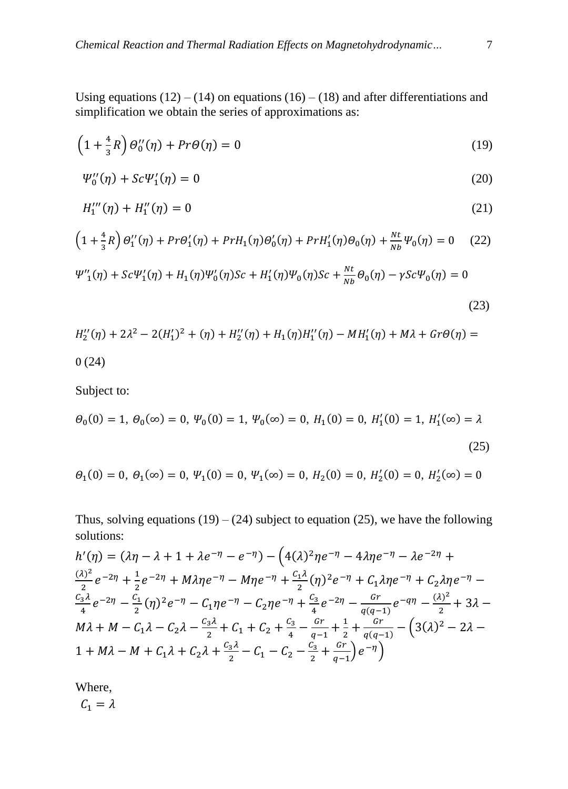Using equations  $(12) - (14)$  on equations  $(16) - (18)$  and after differentiations and simplification we obtain the series of approximations as:

$$
\left(1 + \frac{4}{3}R\right)\Theta_0''(\eta) + Pr\Theta(\eta) = 0\tag{19}
$$

$$
\Psi_0''(\eta) + Sc\Psi_1'(\eta) = 0\tag{20}
$$

$$
H_1'''(\eta) + H_1''(\eta) = 0 \tag{21}
$$

$$
\left(1+\frac{4}{3}R\right)\Theta_{1}^{"}(\eta) + Pr\Theta_{1}^{\prime}(\eta) + PrH_{1}(\eta)\Theta_{0}^{\prime}(\eta) + PrH_{1}^{\prime}(\eta)\Theta_{0}(\eta) + \frac{Nt}{Nb}\Psi_{0}(\eta) = 0 \quad (22)
$$

$$
\Psi''_1(\eta) + Sc\Psi'_1(\eta) + H_1(\eta)\Psi'_0(\eta)Sc + H'_1(\eta)\Psi_0(\eta)Sc + \frac{Nt}{Nb}\Theta_0(\eta) - \gamma Sc\Psi_0(\eta) = 0
$$

$$
H_2''(\eta) + 2\lambda^2 - 2(H_1')^2 + (\eta) + H_2''(\eta) + H_1(\eta)H_1''(\eta) - MH_1'(\eta) + M\lambda + Gr\Theta(\eta) = 0
$$
 (24)

(23)

Subject to:

$$
\Theta_0(0) = 1, \ \Theta_0(\infty) = 0, \ \Psi_0(0) = 1, \ \Psi_0(\infty) = 0, \ H_1(0) = 0, \ H'_1(0) = 1, \ H'_1(\infty) = \lambda
$$
\n(25)

$$
\Theta_1(0) = 0
$$
,  $\Theta_1(\infty) = 0$ ,  $\Psi_1(0) = 0$ ,  $\Psi_1(\infty) = 0$ ,  $H_2(0) = 0$ ,  $H'_2(0) = 0$ ,  $H'_2(\infty) = 0$ 

Thus, solving equations  $(19) - (24)$  subject to equation  $(25)$ , we have the following solutions:

$$
h'(\eta) = (\lambda \eta - \lambda + 1 + \lambda e^{-\eta} - e^{-\eta}) - (4(\lambda)^2 \eta e^{-\eta} - 4\lambda \eta e^{-\eta} - \lambda e^{-2\eta} + \frac{(\lambda)^2}{2} e^{-2\eta} + \frac{1}{2} e^{-2\eta} + M\lambda \eta e^{-\eta} - M\eta e^{-\eta} + \frac{c_1 \lambda}{2} (\eta)^2 e^{-\eta} + C_1 \lambda \eta e^{-\eta} + C_2 \lambda \eta e^{-\eta} - \frac{c_3 \lambda}{4} e^{-2\eta} - \frac{c_1}{2} (\eta)^2 e^{-\eta} - C_1 \eta e^{-\eta} - C_2 \eta e^{-\eta} + \frac{c_3}{4} e^{-2\eta} - \frac{Gr}{q(q-1)} e^{-q\eta} - \frac{(\lambda)^2}{2} + 3\lambda - M\lambda + M - C_1 \lambda - C_2 \lambda - \frac{c_3 \lambda}{2} + C_1 + C_2 + \frac{c_3}{4} - \frac{Gr}{q-1} + \frac{1}{2} + \frac{Gr}{q(q-1)} - (3(\lambda)^2 - 2\lambda - 1 + M\lambda - M + C_1 \lambda + C_2 \lambda + \frac{c_3 \lambda}{2} - C_1 - C_2 - \frac{c_3}{2} + \frac{Gr}{q-1} e^{-\eta})
$$

Where,

 $\mathcal{C}_1 = \lambda$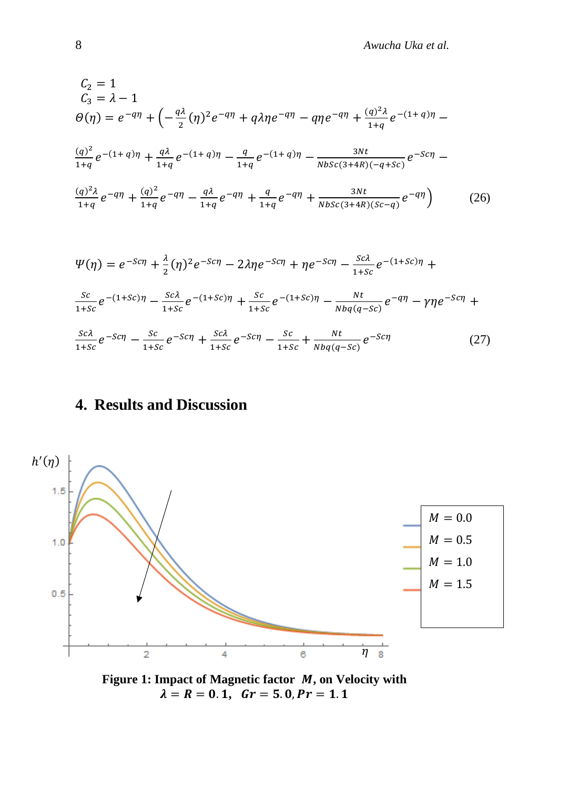$$
C_2 = 1
$$
  
\n
$$
C_3 = \lambda - 1
$$
  
\n
$$
\theta(\eta) = e^{-q\eta} + \left(-\frac{q\lambda}{2}(\eta)^2 e^{-q\eta} + q\lambda \eta e^{-q\eta} - q\eta e^{-q\eta} + \frac{(q)^2 \lambda}{1+q} e^{-(1+q)\eta} - \frac{(q)^2}{1+q} e^{-(1+q)\eta} + \frac{q\lambda}{1+q} e^{-(1+q)\eta} - \frac{q}{1+q} e^{-(1+q)\eta} - \frac{3Nt}{Nbsc(3+4R)(-q+sc)} e^{-Sc\eta} - \frac{(q)^2 \lambda}{1+q} e^{-q\eta} + \frac{(q)^2}{1+q} e^{-q\eta} - \frac{q\lambda}{1+q} e^{-q\eta} + \frac{q}{1+q} e^{-q\eta} + \frac{3Nt}{Nbsc(3+4R)(sc-q)} e^{-q\eta} \right) \qquad (26)
$$
  
\n
$$
\Psi(\eta) = e^{-Sc\eta} + \frac{\lambda}{2} (\eta)^2 e^{-Sc\eta} - 2\lambda \eta e^{-Sc\eta} + \eta e^{-Sc\eta} - \frac{sc\lambda}{1+sc} e^{-(1+Sc)\eta} + \frac{sc}{1+sc} e^{-(1+sc)\eta} - \frac{Nt}{1+sc} e^{-(1+sc)\eta} - \frac{sc}{1+sc} e^{-(1+sc)\eta} - \frac{Nt}{Nbq(q-sc)} e^{-q\eta} - \gamma \eta e^{-Sc\eta} + \frac{sc\lambda}{1+sc} e^{-Sc\eta} - \frac{sc}{1+sc} e^{-Sc\eta} - \frac{sc}{1+sc} + \frac{Nt}{Nbq(q-sc)} e^{-Sc\eta} \qquad (27)
$$

# **4. Results and Discussion**



Figure 1: Impact of Magnetic factor *M*, on Velocity with  $\lambda = R = 0.1$ ,  $Gr = 5.0$ ,  $Pr = 1.1$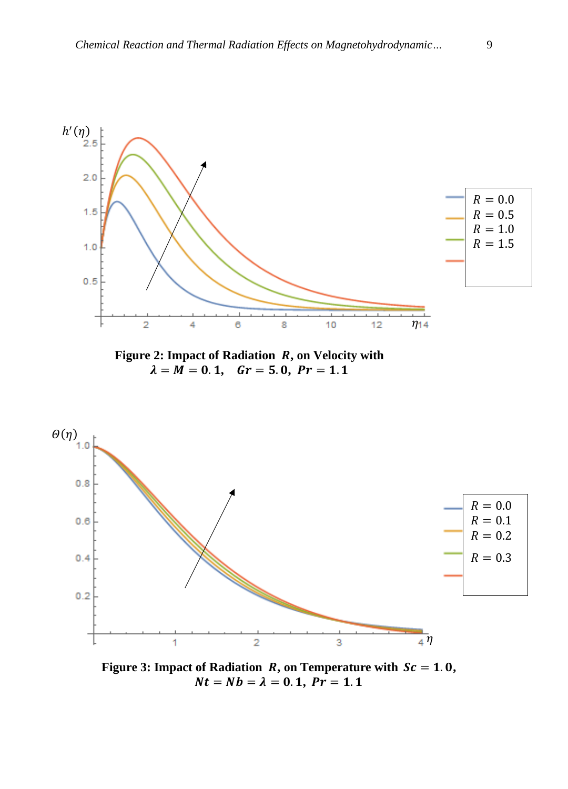

**Figure 3: Impact of Radiation** *R***, on Temperature with**  $Sc = 1.0$ **,**  $Nt = Nb = \lambda = 0.1, Pr = 1.1$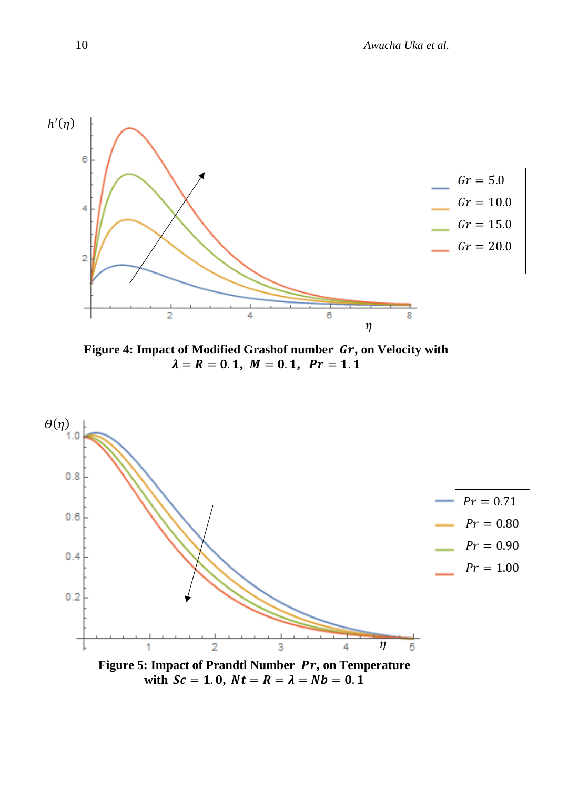

Figure 4: Impact of Modified Grashof number  $\mathbf{G}r$ , on Velocity with  $\lambda = R = 0.1, M = 0.1, Pr = 1.1$ 



with  $Sc = 1.0$ ,  $Nt = R = \lambda = Nb = 0.1$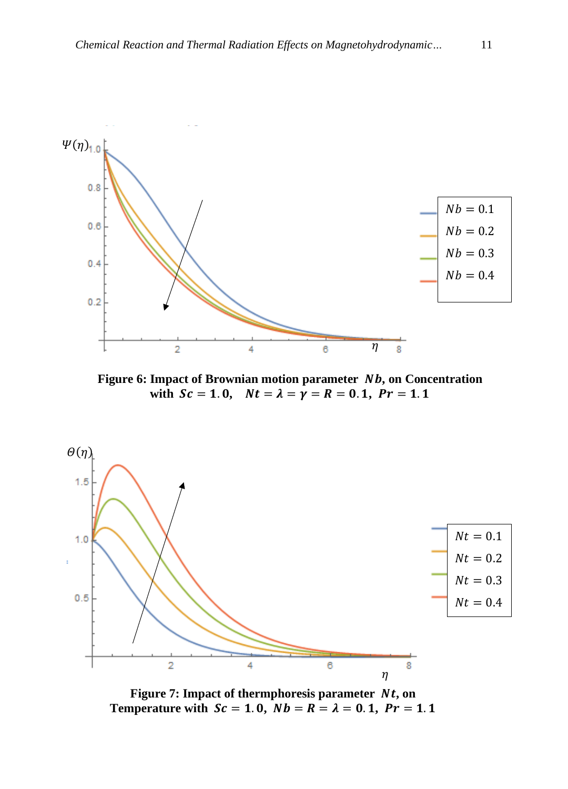

**Figure 6: Impact of Brownian motion parameter** *Nb***, on Concentration** with  $Sc = 1.0$ ,  $Nt = \lambda = \gamma = R = 0.1$ ,  $Pr = 1.1$ 



Figure 7: Impact of thermphoresis parameter  $Nt$ , on **Temperature with**  $Sc = 1.0$ **,**  $Nb = R = \lambda = 0.1$ **,**  $Pr = 1.1$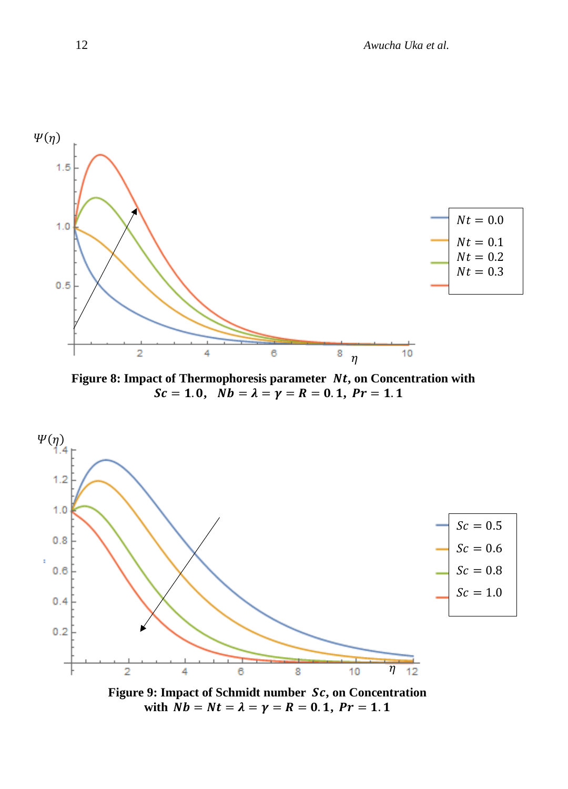

Figure 8: Impact of Thermophoresis parameter  $Nt$ , on Concentration with  $Sc = 1.0, \ \ \bar{N}b = \lambda = \gamma = R = 0.1, \ Pr = 1.1$ 



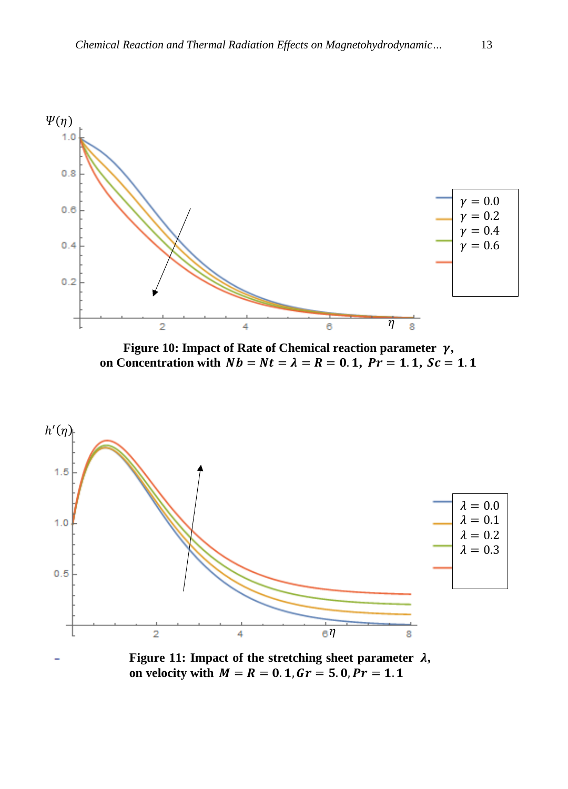

**Figure 10: Impact of Rate of Chemical reaction parameter**  $\gamma$ **, on Concentration with**  $Nb = Nt = \lambda = R = 0.1$ **,**  $Pr = 1.1$ **,**  $Sc = 1.1$ 



Figure 11: Impact of the stretching sheet parameter  $\lambda$ , **on velocity with**  $M = R = 0.1$ **,**  $Gr = 5.0$ **,**  $Pr = 1.1$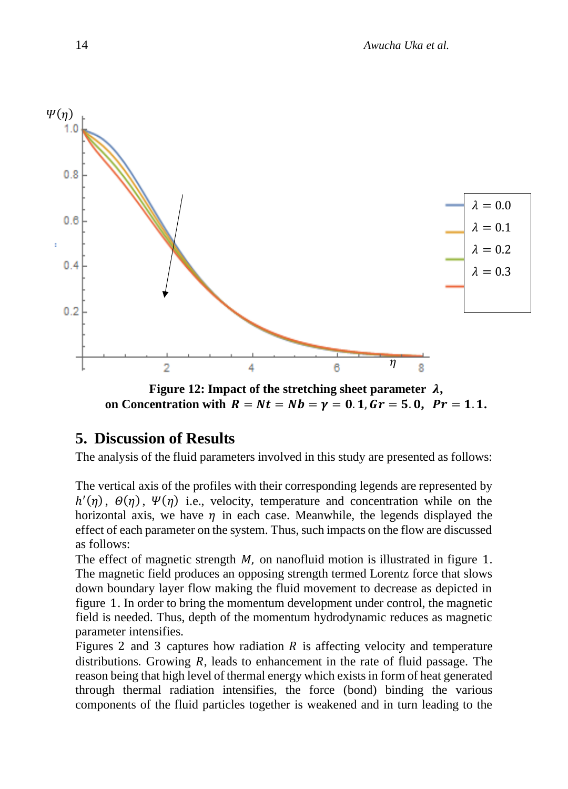

**Figure 12: Impact of the stretching sheet parameter**  $\lambda$ **,** on Concentration with  $R = Nt = Nb = \gamma = 0.1$ ,  $Gr = 5.0$ ,  $Pr = 1.1$ .

# **5. Discussion of Results**

The analysis of the fluid parameters involved in this study are presented as follows:

The vertical axis of the profiles with their corresponding legends are represented by  $h'(\eta)$ ,  $\Theta(\eta)$ ,  $\Psi(\eta)$  i.e., velocity, temperature and concentration while on the horizontal axis, we have  $\eta$  in each case. Meanwhile, the legends displayed the effect of each parameter on the system. Thus, such impacts on the flow are discussed as follows:

The effect of magnetic strength  $M$ , on nanofluid motion is illustrated in figure 1. The magnetic field produces an opposing strength termed Lorentz force that slows down boundary layer flow making the fluid movement to decrease as depicted in figure 1. In order to bring the momentum development under control, the magnetic field is needed. Thus, depth of the momentum hydrodynamic reduces as magnetic parameter intensifies.

Figures 2 and 3 captures how radiation  $\tilde{R}$  is affecting velocity and temperature distributions. Growing *, leads to enhancement in the rate of fluid passage. The* reason being that high level of thermal energy which exists in form of heat generated through thermal radiation intensifies, the force (bond) binding the various components of the fluid particles together is weakened and in turn leading to the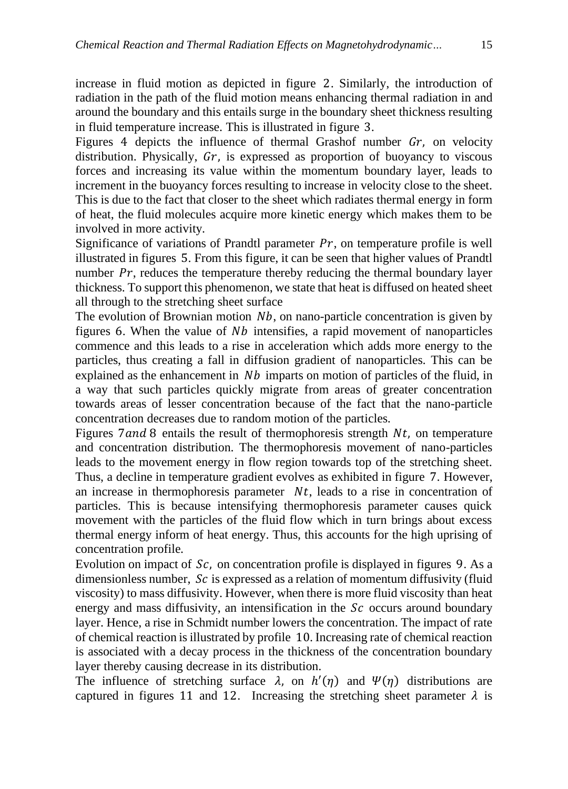increase in fluid motion as depicted in figure 2. Similarly, the introduction of radiation in the path of the fluid motion means enhancing thermal radiation in and around the boundary and this entails surge in the boundary sheet thickness resulting in fluid temperature increase. This is illustrated in figure 3.

Figures 4 depicts the influence of thermal Grashof number  $Gr$ , on velocity distribution. Physically,  $Gr$ , is expressed as proportion of buoyancy to viscous forces and increasing its value within the momentum boundary layer, leads to increment in the buoyancy forces resulting to increase in velocity close to the sheet. This is due to the fact that closer to the sheet which radiates thermal energy in form of heat, the fluid molecules acquire more kinetic energy which makes them to be involved in more activity.

Significance of variations of Prandtl parameter  $Pr$ , on temperature profile is well illustrated in figures 5. From this figure, it can be seen that higher values of Prandtl number  $Pr$ , reduces the temperature thereby reducing the thermal boundary layer thickness. To support this phenomenon, we state that heat is diffused on heated sheet all through to the stretching sheet surface

The evolution of Brownian motion  $Nb$ , on nano-particle concentration is given by figures 6. When the value of  $Nb$  intensifies, a rapid movement of nanoparticles commence and this leads to a rise in acceleration which adds more energy to the particles, thus creating a fall in diffusion gradient of nanoparticles. This can be explained as the enhancement in  $Nb$  imparts on motion of particles of the fluid, in a way that such particles quickly migrate from areas of greater concentration towards areas of lesser concentration because of the fact that the nano-particle concentration decreases due to random motion of the particles.

Figures 7 and 8 entails the result of thermophoresis strength  $Nt$ , on temperature and concentration distribution. The thermophoresis movement of nano-particles leads to the movement energy in flow region towards top of the stretching sheet. Thus, a decline in temperature gradient evolves as exhibited in figure 7. However, an increase in thermophoresis parameter  $Nt$ , leads to a rise in concentration of particles. This is because intensifying thermophoresis parameter causes quick movement with the particles of the fluid flow which in turn brings about excess thermal energy inform of heat energy. Thus, this accounts for the high uprising of concentration profile.

Evolution on impact of  $Sc$ , on concentration profile is displayed in figures 9. As a dimensionless number,  $Sc$  is expressed as a relation of momentum diffusivity (fluid viscosity) to mass diffusivity. However, when there is more fluid viscosity than heat energy and mass diffusivity, an intensification in the  $Sc$  occurs around boundary layer. Hence, a rise in Schmidt number lowers the concentration. The impact of rate of chemical reaction is illustrated by profile 10. Increasing rate of chemical reaction is associated with a decay process in the thickness of the concentration boundary layer thereby causing decrease in its distribution.

The influence of stretching surface  $\lambda$ , on  $h'(\eta)$  and  $\Psi(\eta)$  distributions are captured in figures 11 and 12. Increasing the stretching sheet parameter  $\lambda$  is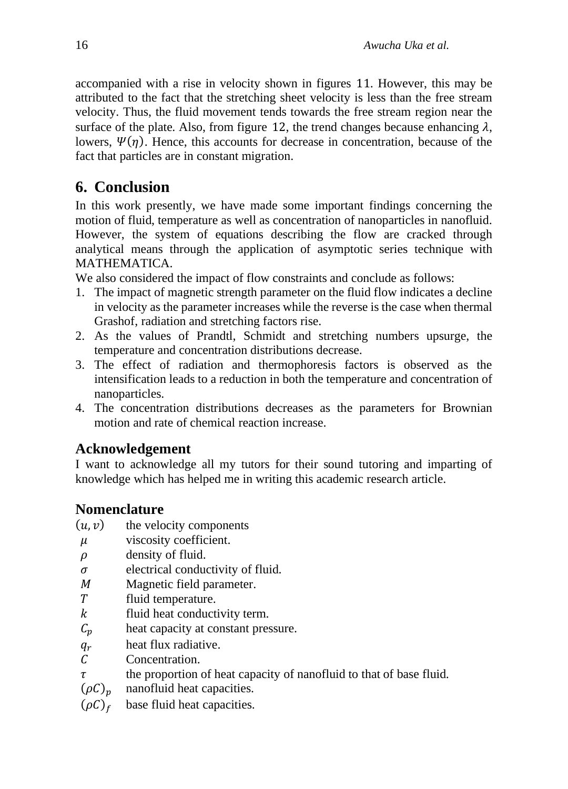accompanied with a rise in velocity shown in figures 11. However, this may be attributed to the fact that the stretching sheet velocity is less than the free stream velocity. Thus, the fluid movement tends towards the free stream region near the surface of the plate. Also, from figure 12, the trend changes because enhancing  $\lambda$ , lowers,  $\Psi(\eta)$ . Hence, this accounts for decrease in concentration, because of the fact that particles are in constant migration.

# **6. Conclusion**

In this work presently, we have made some important findings concerning the motion of fluid, temperature as well as concentration of nanoparticles in nanofluid. However, the system of equations describing the flow are cracked through analytical means through the application of asymptotic series technique with MATHEMATICA.

We also considered the impact of flow constraints and conclude as follows:

- 1. The impact of magnetic strength parameter on the fluid flow indicates a decline in velocity as the parameter increases while the reverse is the case when thermal Grashof, radiation and stretching factors rise.
- 2. As the values of Prandtl, Schmidt and stretching numbers upsurge, the temperature and concentration distributions decrease.
- 3. The effect of radiation and thermophoresis factors is observed as the intensification leads to a reduction in both the temperature and concentration of nanoparticles.
- 4. The concentration distributions decreases as the parameters for Brownian motion and rate of chemical reaction increase.

### **Acknowledgement**

I want to acknowledge all my tutors for their sound tutoring and imparting of knowledge which has helped me in writing this academic research article.

### **Nomenclature**

- $(u, v)$  the velocity components
- $\mu$  viscosity coefficient.
- $\rho$  density of fluid.
- $\sigma$  electrical conductivity of fluid.
- M Magnetic field parameter.
- T fluid temperature.
- $k$  fluid heat conductivity term.
- $C_p$  heat capacity at constant pressure.
- $q_r$  heat flux radiative.<br>C Concentration.
- Concentration.
- $\tau$  the proportion of heat capacity of nanofluid to that of base fluid.<br>( $\rho C$ )<sub>n</sub> nanofluid heat capacities.
- nanofluid heat capacities.

 $(\rho C)_f$  base fluid heat capacities.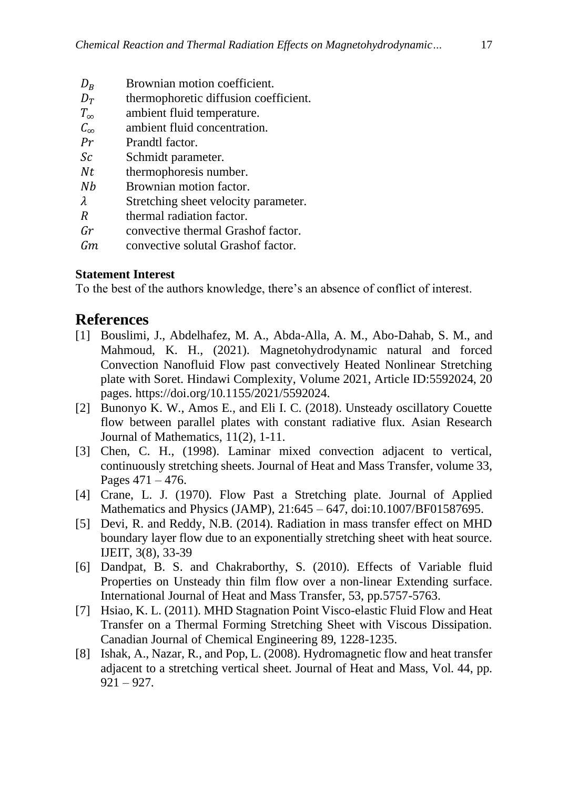- $D_B$  Brownian motion coefficient.<br>  $D_T$  thermophoretic diffusion coef
- thermophoretic diffusion coefficient.
- $T_{\infty}$  ambient fluid temperature.
- $C_{\infty}$  ambient fluid concentration.<br>Pr Prandtl factor.
- Prandtl factor.
- Sc<sub>c</sub> Schmidt parameter.
- $Nt$  thermophoresis number.
- Nb Brownian motion factor.
- $\lambda$  Stretching sheet velocity parameter.
- R thermal radiation factor.
- convective thermal Grashof factor.
- Gm convective solutal Grashof factor.

#### **Statement Interest**

To the best of the authors knowledge, there's an absence of conflict of interest.

### **References**

- [1] Bouslimi, J., Abdelhafez, M. A., Abda-Alla, A. M., Abo-Dahab, S. M., and Mahmoud, K. H., (2021). Magnetohydrodynamic natural and forced Convection Nanofluid Flow past convectively Heated Nonlinear Stretching plate with Soret. Hindawi Complexity, Volume 2021, Article ID:5592024, 20 pages. [https://doi.org/10.1155/2021/5592024.](https://doi.org/10.1155/2021/5592024)
- [2] Bunonyo K. W., Amos E., and Eli I. C. (2018). Unsteady oscillatory Couette flow between parallel plates with constant radiative flux. Asian Research Journal of Mathematics, 11(2), 1-11.
- [3] Chen, C. H., (1998). Laminar mixed convection adjacent to vertical, continuously stretching sheets. Journal of Heat and Mass Transfer, volume 33, Pages  $471 - 476$ .
- [4] Crane, L. J. (1970). Flow Past a Stretching plate. Journal of Applied Mathematics and Physics (JAMP), 21:645 – 647, doi:10.1007/BF01587695.
- [5] Devi, R. and Reddy, N.B. (2014). Radiation in mass transfer effect on MHD boundary layer flow due to an exponentially stretching sheet with heat source. IJEIT, 3(8), 33-39
- [6] Dandpat, B. S. and Chakraborthy, S. (2010). Effects of Variable fluid Properties on Unsteady thin film flow over a non-linear Extending surface. International Journal of Heat and Mass Transfer, 53, pp.5757-5763.
- [7] Hsiao, K. L. (2011). MHD Stagnation Point Visco-elastic Fluid Flow and Heat Transfer on a Thermal Forming Stretching Sheet with Viscous Dissipation. Canadian Journal of Chemical Engineering 89, 1228-1235.
- [8] Ishak, A., Nazar, R., and Pop, L. (2008). Hydromagnetic flow and heat transfer adjacent to a stretching vertical sheet. Journal of Heat and Mass, Vol. 44, pp. 921 – 927.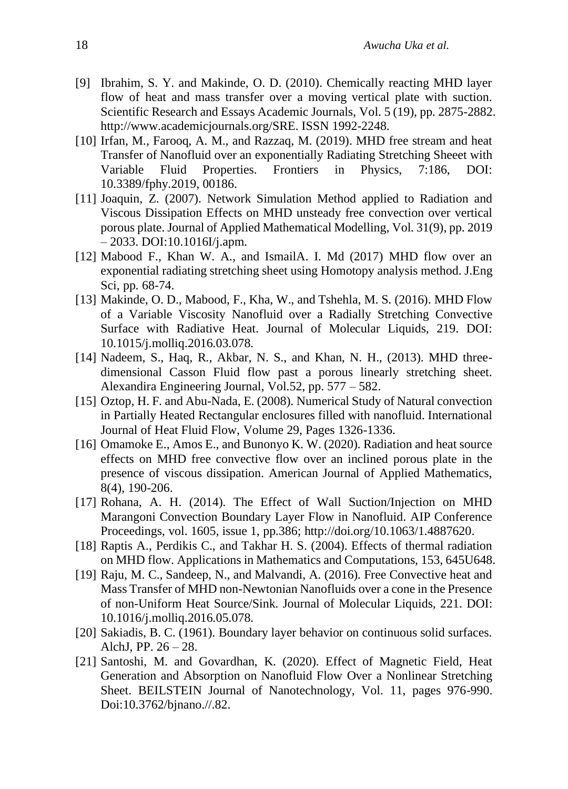- [9] Ibrahim, S. Y. and Makinde, O. D. (2010). Chemically reacting MHD layer flow of heat and mass transfer over a moving vertical plate with suction. Scientific Research and Essays Academic Journals, Vol. 5 (19), pp. 2875-2882. [http://www.academicjournals.org/SRE. ISSN 1992-2248.](http://www.academicjournals.org/SRE.%20ISSN%201992-2248)
- [10] Irfan, M., Farooq, A. M., and Razzaq, M. (2019). MHD free stream and heat Transfer of Nanofluid over an exponentially Radiating Stretching Sheeet with Variable Fluid Properties. Frontiers in Physics, 7:186, DOI: 10.3389/fphy.2019, 00186.
- [11] Joaquin, Z. (2007). Network Simulation Method applied to Radiation and Viscous Dissipation Effects on MHD unsteady free convection over vertical porous plate. Journal of Applied Mathematical Modelling, Vol. 31(9), pp. 2019  $-2033.$  DOI:10.1016I/j.apm.
- [12] Mabood F., Khan W. A., and IsmailA. I. Md (2017) MHD flow over an exponential radiating stretching sheet using Homotopy analysis method. J.Eng Sci, pp. 68-74.
- [13] Makinde, O. D., Mabood, F., Kha, W., and Tshehla, M. S. (2016). MHD Flow of a Variable Viscosity Nanofluid over a Radially Stretching Convective Surface with Radiative Heat. Journal of Molecular Liquids, 219. DOI: 10.1015/j.molliq.2016.03.078.
- [14] Nadeem, S., Haq, R., Akbar, N. S., and Khan, N. H., (2013). MHD threedimensional Casson Fluid flow past a porous linearly stretching sheet. Alexandira Engineering Journal, Vol.52, pp. 577 – 582.
- [15] Oztop, H. F. and Abu-Nada, E. (2008). Numerical Study of Natural convection in Partially Heated Rectangular enclosures filled with nanofluid. International Journal of Heat Fluid Flow, Volume 29, Pages 1326-1336.
- [16] Omamoke E., Amos E., and Bunonyo K. W. (2020). Radiation and heat source effects on MHD free convective flow over an inclined porous plate in the presence of viscous dissipation. American Journal of Applied Mathematics, 8(4), 190-206.
- [17] Rohana, A. H. (2014). The Effect of Wall Suction/Injection on MHD Marangoni Convection Boundary Layer Flow in Nanofluid. AIP Conference Proceedings, vol. 1605, issue 1, pp.386; [http://doi.org/10.1063/1.4887620.](http://doi.org/10.1063/1.4887620)
- [18] Raptis A., Perdikis C., and Takhar H. S. (2004). Effects of thermal radiation on MHD flow. Applications in Mathematics and Computations, 153, 645U648.
- [19] Raju, M. C., Sandeep, N., and Malvandi, A. (2016). Free Convective heat and Mass Transfer of MHD non-Newtonian Nanofluids over a cone in the Presence of non-Uniform Heat Source/Sink. Journal of Molecular Liquids, 221. DOI: 10.1016/j.molliq.2016.05.078.
- [20] Sakiadis, B. C. (1961). Boundary layer behavior on continuous solid surfaces. AlchJ, PP.  $26 - 28$ .
- [21] Santoshi, M. and Govardhan, K. (2020). Effect of Magnetic Field, Heat Generation and Absorption on Nanofluid Flow Over a Nonlinear Stretching Sheet. BEILSTEIN Journal of Nanotechnology, Vol. 11, pages 976-990. Doi:10.3762/bjnano.//.82.